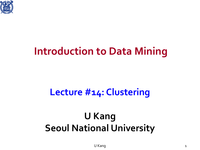

### **Introduction to Data Mining**

### **Lecture #14: Clustering**

### **U Kang Seoul National University**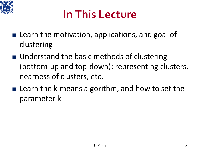

# **In This Lecture**

- Learn the motivation, applications, and goal of clustering
- Understand the basic methods of clustering (bottom-up and top-down): representing clusters, nearness of clusters, etc.
- **Learn the k-means algorithm, and how to set the** parameter k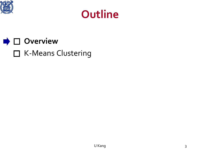



### **D** Overview □ K-Means Clustering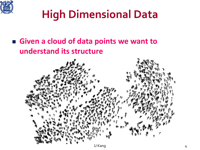

# **High Dimensional Data**

#### **Given a cloud of data points we want to understand its structure**

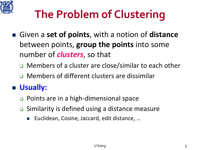

# **The Problem of Clustering**

- Given a set of points, with a notion of distance between points, **group the points** into some number of *clusters*, so that
	- □ Members of a cluster are close/similar to each other
	- **D** Members of different clusters are dissimilar

#### **Usually:**

- □ Points are in a high-dimensional space
- **□** Similarity is defined using a distance measure
	- Euclidean, Cosine, Jaccard, edit distance, …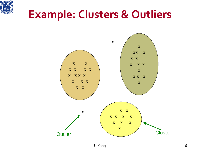

### **Example: Clusters & Outliers**

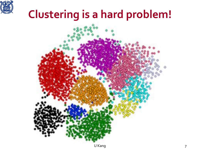

## **Clustering is a hard problem!**

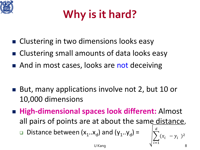

# **Why is it hard?**

- Clustering in two dimensions looks easy
- Clustering small amounts of data looks easy
- And in most cases, looks are not deceiving
- But, many applications involve not 2, but 10 or 10,000 dimensions
- **High-dimensional spaces look different:** Almost all pairs of points are at about the same distance. **Distance between**  $(x_1..x_d)$  **and**  $(y_1..y_d)$  **=**  $\frac{a}{\overline{a}}$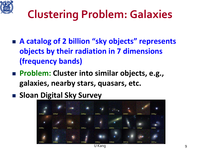

# **Clustering Problem: Galaxies**

- A catalog of 2 billion "sky objects" represents **objects by their radiation in 7 dimensions (frequency bands)**
- Problem: Cluster into similar objects, e.g., **galaxies, nearby stars, quasars, etc.**
- **E** Sloan Digital Sky Survey

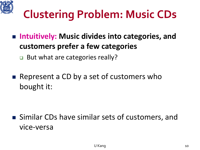

# **Clustering Problem: Music CDs**

- Intuitively: Music divides into categories, and **customers prefer a few categories**
	- But what are categories really?
- Represent a CD by a set of customers who bought it:

■ Similar CDs have similar sets of customers, and vice-versa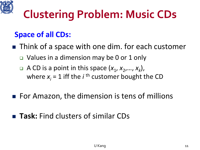

# **Clustering Problem: Music CDs**

#### **Space of all CDs:**

- **Think of a space with one dim. for each customer** 
	- □ Values in a dimension may be 0 or 1 only
	- $\Box$  A CD is a point in this space  $(x_1, x_2, ..., x_k)$ , where  $x_i = 1$  iff the *i*<sup>th</sup> customer bought the CD
- For Amazon, the dimension is tens of millions
- **Task:** Find clusters of similar CDs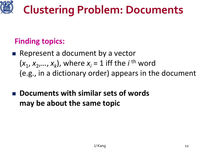

#### **Finding topics:**

- $\blacksquare$  Represent a document by a vector  $(x_1, x_2,..., x_k)$ , where  $x_i = 1$  iff the *i*<sup>th</sup> word (e.g., in a dictionary order) appears in the document
- **Documents with similar sets of words may be about the same topic**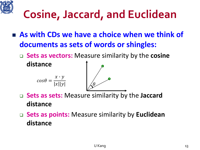

# **Cosine, Jaccard, and Euclidean**

- As with CDs we have a choice when we think of **documents as sets of words or shingles:**
	- **Sets as vectors:** Measure similarity by the **cosine**



- **Sets as sets:** Measure similarity by the **Jaccard distance**
- **Sets as points:** Measure similarity by **Euclidean distance**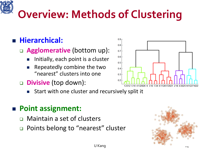# **Overview: Methods of Clustering**

#### **Hierarchical:**

#### **Agglomerative** (bottom up):

- Initially, each point is a cluster
- Repeatedly combine the two "nearest" clusters into one
- **Divisive** (top down):
	- Start with one cluster and recursively split it

#### **Point assignment:**

- **Q** Maintain a set of clusters
- □ Points belong to "nearest" cluster





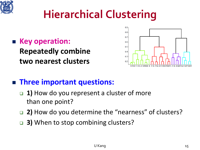

# **Hierarchical Clustering**

■ Key operation: **Repeatedly combine two nearest clusters**



#### **Three important questions:**

- **1)** How do you represent a cluster of more than one point?
- 2) How do you determine the "nearness" of clusters?
- **3)** When to stop combining clusters?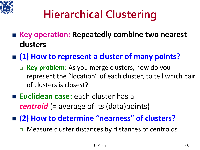

# **Hierarchical Clustering**

- Key operation: Repeatedly combine two nearest **clusters**
- (1) How to represent a cluster of many points?
	- **Key problem:** As you merge clusters, how do you represent the "location" of each cluster, to tell which pair of clusters is closest?
- **Euclidean case:** each cluster has a *centroid* (= average of its (data)points)
- (2) How to determine "nearness" of clusters?
	- □ Measure cluster distances by distances of centroids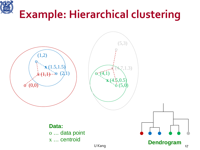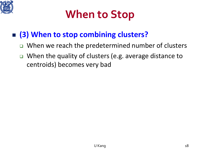

# **When to Stop**

#### **(3) When to stop combining clusters?**

- $\Box$  When we reach the predetermined number of clusters
- When the quality of clusters (e.g. average distance to centroids) becomes very bad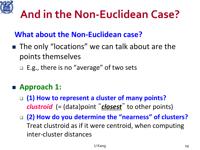

# **And in the Non-Euclidean Case?**

#### **What about the Non-Euclidean case?**

- The only "locations" we can talk about are the points themselves
	- $\Box$  E.g., there is no "average" of two sets

#### **Approach 1:**

- **(1) How to represent a cluster of many points?** *clustroid* (= (data)point "*closest*" to other points)
- **(2) How do you determine the "nearness" of clusters?**  Treat clustroid as if it were centroid, when computing inter-cluster distances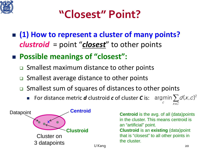

## **"Closest" Point?**

- (1) How to represent a cluster of many points? *clustroid* = point "*closest*" to other points
- **Possible meanings of "closest":**
	- **□** Smallest maximum distance to other points
	- □ Smallest average distance to other points
	- □ Smallest sum of squares of distances to other points
		- **■** For distance metric *d* clustroid *c* of cluster *C* is: argmin  $\sum d(x, c)^2$

the cluster.



**Centroid** is the avg. of all (data)points in the cluster. This means centroid is an "artificial" point. **Clustroid** is an **existing** (data)point that is "closest" to all other points in

U Kang 20

 $x \in C$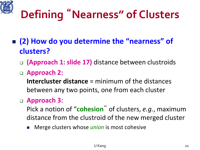# **Defining** "**Nearness" of Clusters**

- **(2) How do you determine the "nearness" of clusters?** 
	- **(Approach 1: slide 17)** distance between clustroids
	- **Approach 2:**
		- **Intercluster distance** = minimum of the distances between any two points, one from each cluster

#### **Approach 3:**

- Pick a notion of "**cohesion**" of clusters, *e.g.*, maximum distance from the clustroid of the new merged cluster
- Merge clusters whose *union* is most cohesive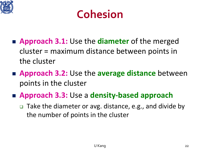



- **Approach 3.1:** Use the **diameter** of the merged cluster = maximum distance between points in the cluster
- **Approach 3.2:** Use the **average distance** between points in the cluster
- **Approach 3.3:** Use a **density-based approach**
	- □ Take the diameter or avg. distance, e.g., and divide by the number of points in the cluster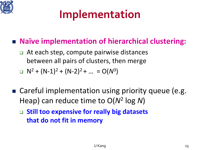

# **Implementation**

#### **Naïve implementation of hierarchical clustering:**

 At each step, compute pairwise distances between all pairs of clusters, then merge

$$
N^2 + (N-1)^2 + (N-2)^2 + ... = O(N^3)
$$

- Careful implementation using priority queue (e.g. Heap) can reduce time to O(*N*<sup>2</sup> log *N*)
	- **Still too expensive for really big datasets that do not fit in memory**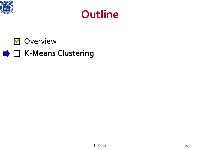





#### **★ □ K-Means Clustering**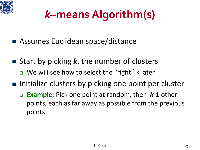

# *k***–means Algorithm(s)**

- Assumes Euclidean space/distance
- Start by picking *k*, the number of clusters ■ We will see how to select the "right" k later
- **Initialize clusters by picking one point per cluster** 
	- **Example:** Pick one point at random, then *k***-1** other points, each as far away as possible from the previous points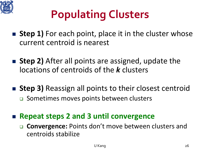

# **Populating Clusters**

- **Step 1)** For each point, place it in the cluster whose current centroid is nearest
- **Step 2)** After all points are assigned, update the locations of centroids of the *k* clusters
- **Step 3)** Reassign all points to their closest centroid □ Sometimes moves points between clusters
- Repeat steps 2 and 3 until convergence
	- **Convergence:** Points don't move between clusters and centroids stabilize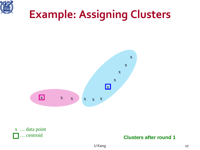

# **Example: Assigning Clusters**





#### **Clusters after round 1**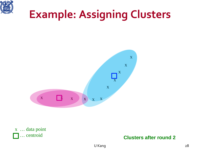

# **Example: Assigning Clusters**



x … data point … centroid

#### **Clusters after round 2**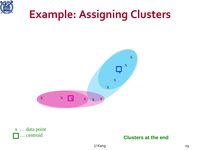

# **Example: Assigning Clusters**



x … data point … centroid

#### **Clusters at the end**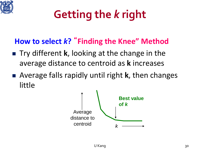

# **Getting the** *k* **right**

### **How to select** *k***?** "**Finding the Knee" Method**

- Try different **k**, looking at the change in the average distance to centroid as **k** increases
- Average falls rapidly until right **k**, then changes little

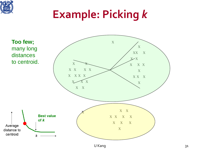# **Example: Picking** *k*

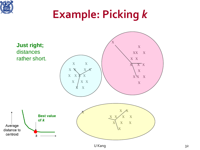# **Example: Picking** *k*

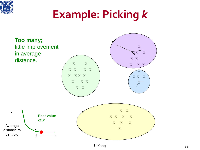# **Example: Picking** *k*

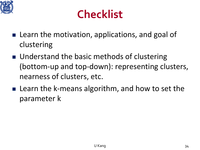

## **Checklist**

- Learn the motivation, applications, and goal of clustering
- Understand the basic methods of clustering (bottom-up and top-down): representing clusters, nearness of clusters, etc.
- Learn the k-means algorithm, and how to set the parameter k